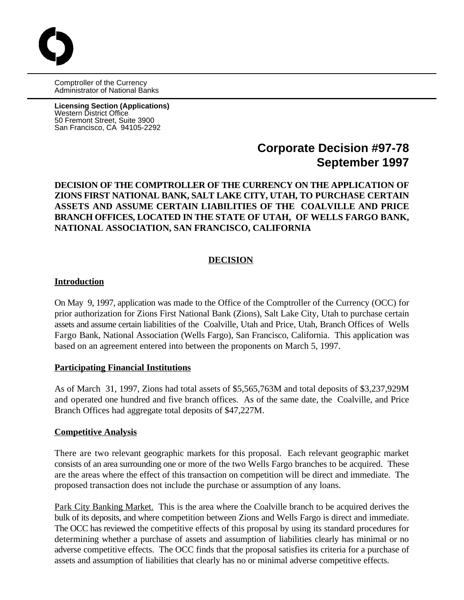Comptroller of the Currency Administrator of National Banks

**Licensing Section (Applications)** Western District Office 50 Fremont Street, Suite 3900 San Francisco, CA 94105-2292

# **Corporate Decision #97-78 September 1997**

# **DECISION OF THE COMPTROLLER OF THE CURRENCY ON THE APPLICATION OF ZIONS FIRST NATIONAL BANK, SALT LAKE CITY, UTAH, TO PURCHASE CERTAIN ASSETS AND ASSUME CERTAIN LIABILITIES OF THE COALVILLE AND PRICE BRANCH OFFICES, LOCATED IN THE STATE OF UTAH, OF WELLS FARGO BANK, NATIONAL ASSOCIATION, SAN FRANCISCO, CALIFORNIA**

# **DECISION**

### **Introduction**

On May 9, 1997, application was made to the Office of the Comptroller of the Currency (OCC) for prior authorization for Zions First National Bank (Zions), Salt Lake City, Utah to purchase certain assets and assume certain liabilities of the Coalville, Utah and Price, Utah, Branch Offices of Wells Fargo Bank, National Association (Wells Fargo), San Francisco, California. This application was based on an agreement entered into between the proponents on March 5, 1997.

#### **Participating Financial Institutions**

As of March 31, 1997, Zions had total assets of \$5,565,763M and total deposits of \$3,237,929M and operated one hundred and five branch offices. As of the same date, the Coalville, and Price Branch Offices had aggregate total deposits of \$47,227M.

#### **Competitive Analysis**

There are two relevant geographic markets for this proposal. Each relevant geographic market consists of an area surrounding one or more of the two Wells Fargo branches to be acquired. These are the areas where the effect of this transaction on competition will be direct and immediate. The proposed transaction does not include the purchase or assumption of any loans.

Park City Banking Market. This is the area where the Coalville branch to be acquired derives the bulk of its deposits, and where competition between Zions and Wells Fargo is direct and immediate. The OCC has reviewed the competitive effects of this proposal by using its standard procedures for determining whether a purchase of assets and assumption of liabilities clearly has minimal or no adverse competitive effects. The OCC finds that the proposal satisfies its criteria for a purchase of assets and assumption of liabilities that clearly has no or minimal adverse competitive effects.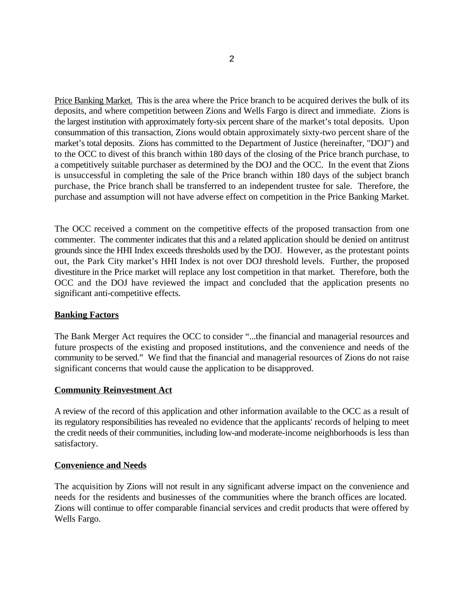Price Banking Market. This is the area where the Price branch to be acquired derives the bulk of its deposits, and where competition between Zions and Wells Fargo is direct and immediate. Zions is the largest institution with approximately forty-six percent share of the market's total deposits. Upon consummation of this transaction, Zions would obtain approximately sixty-two percent share of the market's total deposits. Zions has committed to the Department of Justice (hereinafter, "DOJ") and to the OCC to divest of this branch within 180 days of the closing of the Price branch purchase, to a competitively suitable purchaser as determined by the DOJ and the OCC. In the event that Zions is unsuccessful in completing the sale of the Price branch within 180 days of the subject branch purchase, the Price branch shall be transferred to an independent trustee for sale. Therefore, the purchase and assumption will not have adverse effect on competition in the Price Banking Market.

The OCC received a comment on the competitive effects of the proposed transaction from one commenter. The commenter indicates that this and a related application should be denied on antitrust grounds since the HHI Index exceeds thresholds used by the DOJ. However, as the protestant points out, the Park City market's HHI Index is not over DOJ threshold levels. Further, the proposed divestiture in the Price market will replace any lost competition in that market. Therefore, both the OCC and the DOJ have reviewed the impact and concluded that the application presents no significant anti-competitive effects.

# **Banking Factors**

The Bank Merger Act requires the OCC to consider "...the financial and managerial resources and future prospects of the existing and proposed institutions, and the convenience and needs of the community to be served." We find that the financial and managerial resources of Zions do not raise significant concerns that would cause the application to be disapproved.

# **Community Reinvestment Act**

A review of the record of this application and other information available to the OCC as a result of its regulatory responsibilities has revealed no evidence that the applicants' records of helping to meet the credit needs of their communities, including low-and moderate-income neighborhoods is less than satisfactory.

# **Convenience and Needs**

The acquisition by Zions will not result in any significant adverse impact on the convenience and needs for the residents and businesses of the communities where the branch offices are located. Zions will continue to offer comparable financial services and credit products that were offered by Wells Fargo.